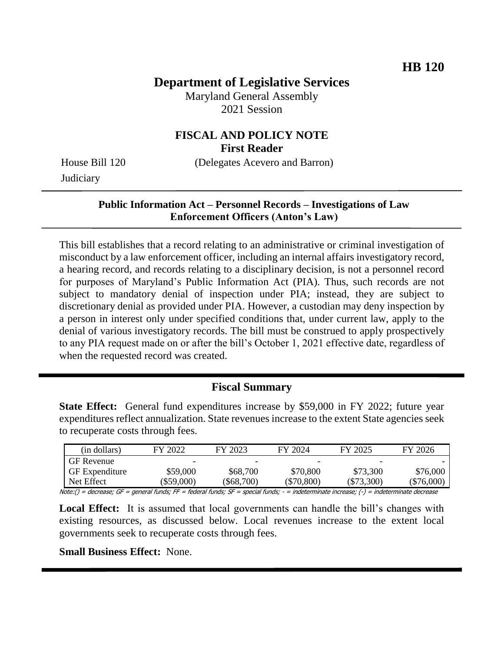## **Department of Legislative Services**

Maryland General Assembly 2021 Session

### **FISCAL AND POLICY NOTE First Reader**

**Judiciary** 

House Bill 120 (Delegates Acevero and Barron)

### **Public Information Act – Personnel Records – Investigations of Law Enforcement Officers (Anton's Law)**

This bill establishes that a record relating to an administrative or criminal investigation of misconduct by a law enforcement officer, including an internal affairs investigatory record, a hearing record, and records relating to a disciplinary decision, is not a personnel record for purposes of Maryland's Public Information Act (PIA). Thus, such records are not subject to mandatory denial of inspection under PIA; instead, they are subject to discretionary denial as provided under PIA. However, a custodian may deny inspection by a person in interest only under specified conditions that, under current law, apply to the denial of various investigatory records. The bill must be construed to apply prospectively to any PIA request made on or after the bill's October 1, 2021 effective date, regardless of when the requested record was created.

#### **Fiscal Summary**

**State Effect:** General fund expenditures increase by \$59,000 in FY 2022; future year expenditures reflect annualization. State revenues increase to the extent State agencies seek to recuperate costs through fees.

| (in dollars)          | FY 2022      | FY 2023                  | FY 2024                  | FY 2025                  | FY 2026      |
|-----------------------|--------------|--------------------------|--------------------------|--------------------------|--------------|
| <b>GF</b> Revenue     | -            | $\overline{\phantom{0}}$ | $\overline{\phantom{0}}$ | $\overline{\phantom{0}}$ |              |
| <b>GF</b> Expenditure | \$59,000     | \$68,700                 | \$70,800                 | \$73,300                 | \$76,000     |
| Net Effect            | $(\$59,000)$ | \$68,700                 | (\$70,800)               | $(\$73,300)$             | $(\$76,000)$ |

Note:() = decrease; GF = general funds; FF = federal funds; SF = special funds; - = indeterminate increase; (-) = indeterminate decrease

Local Effect: It is assumed that local governments can handle the bill's changes with existing resources, as discussed below. Local revenues increase to the extent local governments seek to recuperate costs through fees.

**Small Business Effect:** None.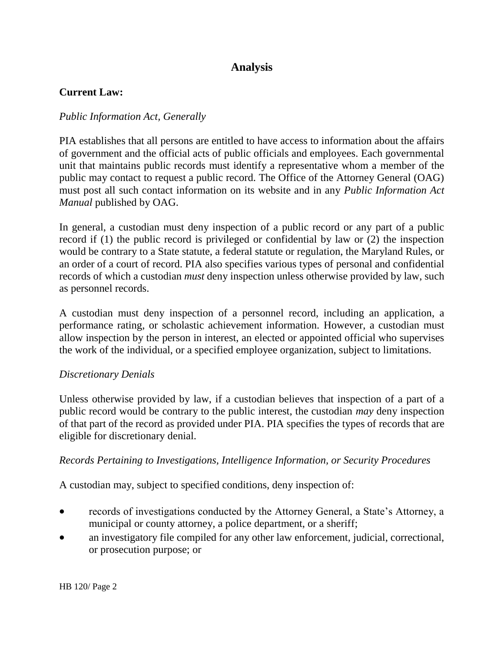# **Analysis**

#### **Current Law:**

#### *Public Information Act, Generally*

PIA establishes that all persons are entitled to have access to information about the affairs of government and the official acts of public officials and employees. Each governmental unit that maintains public records must identify a representative whom a member of the public may contact to request a public record. The Office of the Attorney General (OAG) must post all such contact information on its website and in any *Public Information Act Manual* published by OAG.

In general, a custodian must deny inspection of a public record or any part of a public record if (1) the public record is privileged or confidential by law or (2) the inspection would be contrary to a State statute, a federal statute or regulation, the Maryland Rules, or an order of a court of record. PIA also specifies various types of personal and confidential records of which a custodian *must* deny inspection unless otherwise provided by law, such as personnel records.

A custodian must deny inspection of a personnel record, including an application, a performance rating, or scholastic achievement information. However, a custodian must allow inspection by the person in interest, an elected or appointed official who supervises the work of the individual, or a specified employee organization, subject to limitations.

#### *Discretionary Denials*

Unless otherwise provided by law, if a custodian believes that inspection of a part of a public record would be contrary to the public interest, the custodian *may* deny inspection of that part of the record as provided under PIA. PIA specifies the types of records that are eligible for discretionary denial.

#### *Records Pertaining to Investigations, Intelligence Information, or Security Procedures*

A custodian may, subject to specified conditions, deny inspection of:

- records of investigations conducted by the Attorney General, a State's Attorney, a municipal or county attorney, a police department, or a sheriff;
- an investigatory file compiled for any other law enforcement, judicial, correctional, or prosecution purpose; or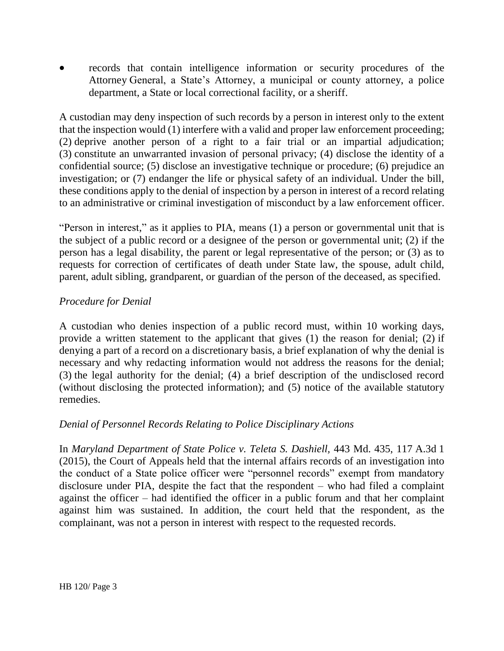records that contain intelligence information or security procedures of the Attorney General, a State's Attorney, a municipal or county attorney, a police department, a State or local correctional facility, or a sheriff.

A custodian may deny inspection of such records by a person in interest only to the extent that the inspection would (1) interfere with a valid and proper law enforcement proceeding; (2) deprive another person of a right to a fair trial or an impartial adjudication; (3) constitute an unwarranted invasion of personal privacy; (4) disclose the identity of a confidential source; (5) disclose an investigative technique or procedure; (6) prejudice an investigation; or (7) endanger the life or physical safety of an individual. Under the bill, these conditions apply to the denial of inspection by a person in interest of a record relating to an administrative or criminal investigation of misconduct by a law enforcement officer.

"Person in interest," as it applies to PIA, means (1) a person or governmental unit that is the subject of a public record or a designee of the person or governmental unit; (2) if the person has a legal disability, the parent or legal representative of the person; or (3) as to requests for correction of certificates of death under State law, the spouse, adult child, parent, adult sibling, grandparent, or guardian of the person of the deceased, as specified.

#### *Procedure for Denial*

A custodian who denies inspection of a public record must, within 10 working days, provide a written statement to the applicant that gives (1) the reason for denial; (2) if denying a part of a record on a discretionary basis, a brief explanation of why the denial is necessary and why redacting information would not address the reasons for the denial; (3) the legal authority for the denial; (4) a brief description of the undisclosed record (without disclosing the protected information); and (5) notice of the available statutory remedies.

#### *Denial of Personnel Records Relating to Police Disciplinary Actions*

In *Maryland Department of State Police v. Teleta S. Dashiell,* 443 Md. 435, 117 A.3d 1 (2015), the Court of Appeals held that the internal affairs records of an investigation into the conduct of a State police officer were "personnel records" exempt from mandatory disclosure under PIA, despite the fact that the respondent – who had filed a complaint against the officer – had identified the officer in a public forum and that her complaint against him was sustained. In addition, the court held that the respondent, as the complainant, was not a person in interest with respect to the requested records.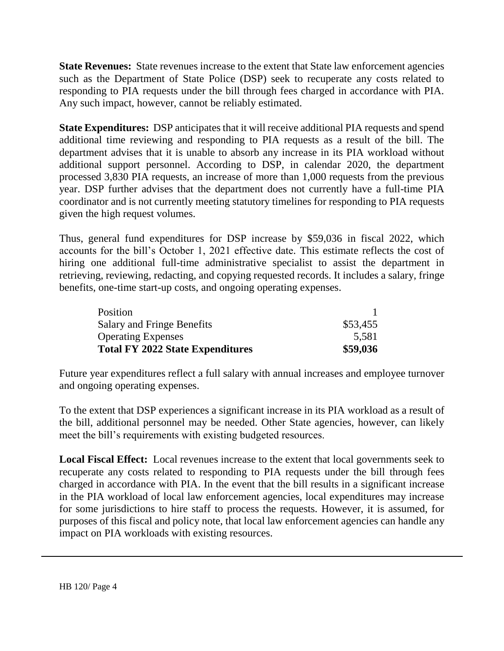**State Revenues:** State revenues increase to the extent that State law enforcement agencies such as the Department of State Police (DSP) seek to recuperate any costs related to responding to PIA requests under the bill through fees charged in accordance with PIA. Any such impact, however, cannot be reliably estimated.

**State Expenditures:** DSP anticipates that it will receive additional PIA requests and spend additional time reviewing and responding to PIA requests as a result of the bill. The department advises that it is unable to absorb any increase in its PIA workload without additional support personnel. According to DSP, in calendar 2020, the department processed 3,830 PIA requests, an increase of more than 1,000 requests from the previous year. DSP further advises that the department does not currently have a full-time PIA coordinator and is not currently meeting statutory timelines for responding to PIA requests given the high request volumes.

Thus, general fund expenditures for DSP increase by \$59,036 in fiscal 2022, which accounts for the bill's October 1, 2021 effective date*.* This estimate reflects the cost of hiring one additional full-time administrative specialist to assist the department in retrieving, reviewing, redacting, and copying requested records. It includes a salary, fringe benefits, one-time start-up costs, and ongoing operating expenses.

| Position                                |          |
|-----------------------------------------|----------|
| Salary and Fringe Benefits              | \$53,455 |
| <b>Operating Expenses</b>               | 5,581    |
| <b>Total FY 2022 State Expenditures</b> | \$59,036 |

Future year expenditures reflect a full salary with annual increases and employee turnover and ongoing operating expenses.

To the extent that DSP experiences a significant increase in its PIA workload as a result of the bill, additional personnel may be needed. Other State agencies, however, can likely meet the bill's requirements with existing budgeted resources.

**Local Fiscal Effect:** Local revenues increase to the extent that local governments seek to recuperate any costs related to responding to PIA requests under the bill through fees charged in accordance with PIA. In the event that the bill results in a significant increase in the PIA workload of local law enforcement agencies, local expenditures may increase for some jurisdictions to hire staff to process the requests. However, it is assumed, for purposes of this fiscal and policy note, that local law enforcement agencies can handle any impact on PIA workloads with existing resources.